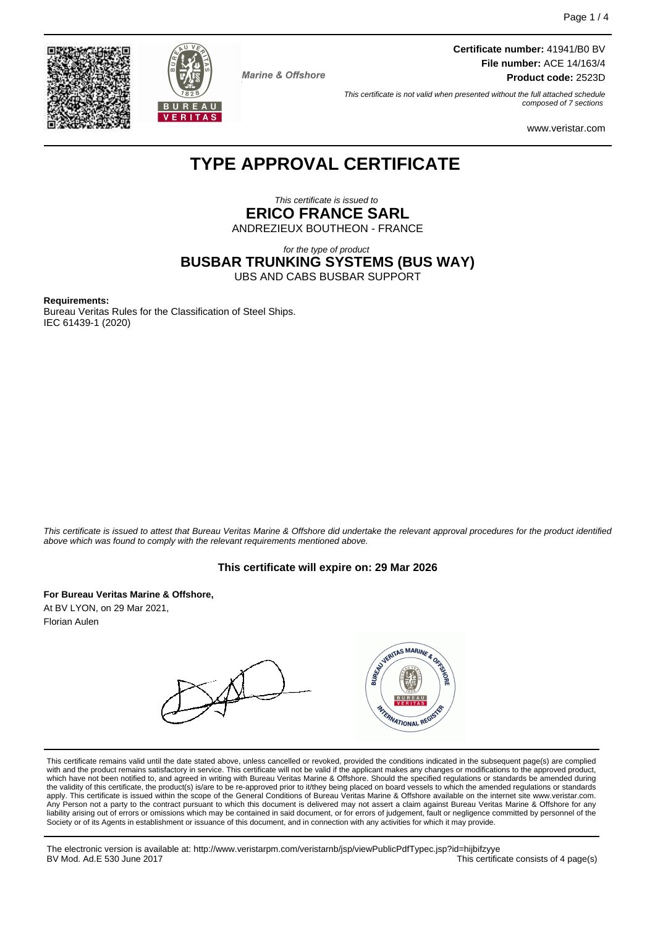



**Marine & Offshore** 

**Certificate number:** 41941/B0 BV **File number:** ACE 14/163/4 **Product code:** 2523D

This certificate is not valid when presented without the full attached schedule composed of 7 sections

www.veristar.com

# **TYPE APPROVAL CERTIFICATE**

This certificate is issued to **ERICO FRANCE SARL** ANDREZIEUX BOUTHEON - FRANCE

for the type of product **BUSBAR TRUNKING SYSTEMS (BUS WAY)** UBS AND CABS BUSBAR SUPPORT

#### **Requirements:**

Bureau Veritas Rules for the Classification of Steel Ships. IEC 61439-1 (2020)

This certificate is issued to attest that Bureau Veritas Marine & Offshore did undertake the relevant approval procedures for the product identified above which was found to comply with the relevant requirements mentioned above.

### **This certificate will expire on: 29 Mar 2026**

**For Bureau Veritas Marine & Offshore,**

At BV LYON, on 29 Mar 2021, Florian Aulen



This certificate remains valid until the date stated above, unless cancelled or revoked, provided the conditions indicated in the subsequent page(s) are complied with and the product remains satisfactory in service. This certificate will not be valid if the applicant makes any changes or modifications to the approved product, which have not been notified to, and agreed in writing with Bureau Veritas Marine & Offshore. Should the specified regulations or standards be amended during<br>the validity of this certificate, the product(s) is/are to be re apply. This certificate is issued within the scope of the General Conditions of Bureau Veritas Marine & Offshore available on the internet site www.veristar.com. Any Person not a party to the contract pursuant to which this document is delivered may not assert a claim against Bureau Veritas Marine & Offshore for any liability arising out of errors or omissions which may be contained in said document, or for errors of judgement, fault or negligence committed by personnel of the<br>Society or of its Agents in establishment or issuance of t

The electronic version is available at: http://www.veristarpm.com/veristarnb/jsp/viewPublicPdfTypec.jsp?id=hijbifzyye This certificate consists of 4 page(s)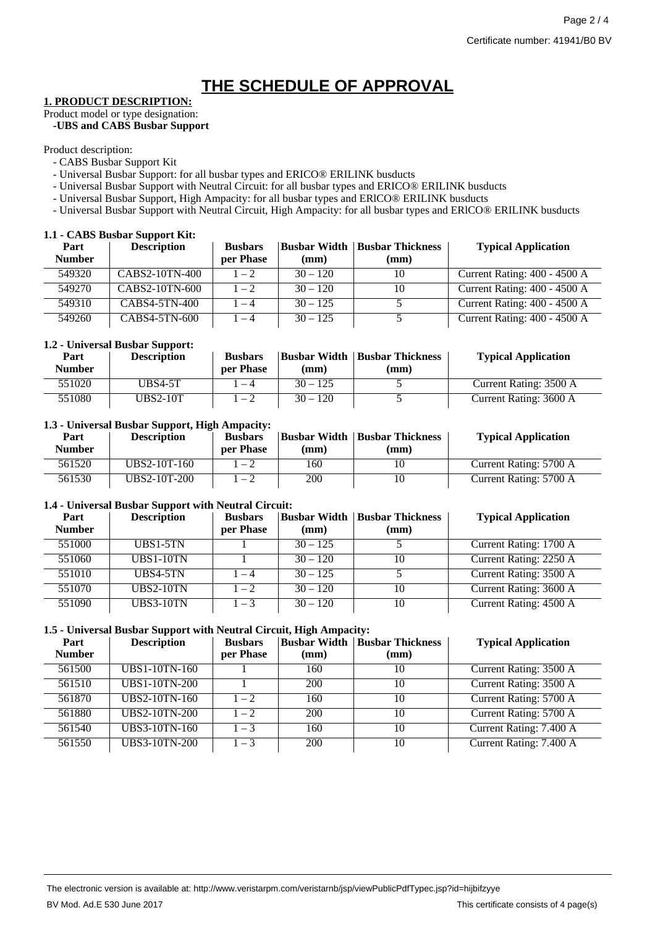# **THE SCHEDULE OF APPROVAL**

# **1. PRODUCT DESCRIPTION:**

Product model or type designation: **-UBS and CABS Busbar Support**

Product description:

- CABS Busbar Support Kit
- Universal Busbar Support: for all busbar types and ERICO® ERILINK busducts
- Universal Busbar Support with Neutral Circuit: for all busbar types and ERICO® ERILINK busducts
- Universal Busbar Support, High Ampacity: for all busbar types and ERlCO® ERILINK busducts
- Universal Busbar Support with Neutral Circuit, High Ampacity: for all busbar types and ERlCO® ERILINK busducts

# **1.1 - CABS Busbar Support Kit:**

| Part<br><b>Number</b> | <b>Description</b> | <b>Busbars</b><br>per Phase | (mm)       | <b>Busbar Width   Busbar Thickness</b><br>(mm) | <b>Typical Application</b>   |
|-----------------------|--------------------|-----------------------------|------------|------------------------------------------------|------------------------------|
| 549320                | CABS2-10TN-400     | $1 - 2$                     | $30 - 120$ | 10                                             | Current Rating: 400 - 4500 A |
| 549270                | CABS2-10TN-600     | $1 - 2$                     | $30 - 120$ | 10                                             | Current Rating: 400 - 4500 A |
| 549310                | CABS4-5TN-400      | $1 - 4$                     | $30 - 125$ |                                                | Current Rating: 400 - 4500 A |
| 549260                | CABS4-5TN-600      | $1 - 4$                     | $30 - 125$ |                                                | Current Rating: 400 - 4500 A |

# **1.2 - Universal Busbar Support:**

| Part<br><b>Number</b> | <b>Description</b> | <b>Busbars</b><br>per Phase | (mm)       | <b>Busbar Width   Busbar Thickness</b><br>$(\mathbf{mm})$ | <b>Typical Application</b> |
|-----------------------|--------------------|-----------------------------|------------|-----------------------------------------------------------|----------------------------|
| 551020                | <b>UBS4-5T</b>     | $1 - 4$                     | $30 - 125$ |                                                           | Current Rating: 3500 A     |
| 551080                | UBS2-10T           | $1 - 2$                     | $30 - 120$ |                                                           | Current Rating: 3600 A     |

## **1.3 - Universal Busbar Support, High Ampacity:**

| Part<br>Number | <b>Description</b> | <b>Busbars</b><br>per Phase | (mm) | <b>Busbar Width   Busbar Thickness</b><br>(mm) | <b>Typical Application</b> |
|----------------|--------------------|-----------------------------|------|------------------------------------------------|----------------------------|
| 561520         | UBS2-10T-160       | $1-2$                       | 160  | 10                                             | Current Rating: 5700 A     |
| 561530         | UBS2-10T-200       | $-2$                        | 200  | 10                                             | Current Rating: 5700 A     |

# **1.4 - Universal Busbar Support with Neutral Circuit:**

| Part<br><b>Number</b> | <b>Description</b> | <b>Busbars</b><br>per Phase | (mm)       | <b>Busbar Width   Busbar Thickness</b><br>(mm) | <b>Typical Application</b> |
|-----------------------|--------------------|-----------------------------|------------|------------------------------------------------|----------------------------|
| 551000                | UBS1-5TN           |                             | $30 - 125$ |                                                | Current Rating: 1700 A     |
| 551060                | <b>UBS1-10TN</b>   |                             | $30 - 120$ | 10                                             | Current Rating: 2250 A     |
| 551010                | UBS4-5TN           | $1 - 4$                     | $30 - 125$ |                                                | Current Rating: 3500 A     |
| 551070                | <b>UBS2-10TN</b>   | $1 - 2$                     | $30 - 120$ | 10                                             | Current Rating: 3600 A     |
| 551090                | <b>UBS3-10TN</b>   | $1 - 3$                     | $30 - 120$ | 10                                             | Current Rating: 4500 A     |

# **1.5 - Universal Busbar Support with Neutral Circuit, High Ampacity:**

| Part          | <b>Description</b>   | <b>Busbars</b> | Busbar Width | <b>Busbar Thickness</b> | <b>Typical Application</b> |
|---------------|----------------------|----------------|--------------|-------------------------|----------------------------|
| <b>Number</b> |                      | per Phase      | (mm)         | (mm)                    |                            |
| 561500        | UBS1-10TN-160        |                | 160          | 10                      | Current Rating: 3500 A     |
| 561510        | <b>UBS1-10TN-200</b> |                | 200          | 10                      | Current Rating: 3500 A     |
| 561870        | UBS2-10TN-160        | $1 - 2$        | 160          | 10                      | Current Rating: 5700 A     |
| 561880        | <b>UBS2-10TN-200</b> | $1 - 2$        | 200          | 10                      | Current Rating: 5700 A     |
| 561540        | <b>UBS3-10TN-160</b> | $1 - 3$        | 160          | 10                      | Current Rating: 7.400 A    |
| 561550        | <b>UBS3-10TN-200</b> | $1 - 3$        | 200          | 10                      | Current Rating: 7.400 A    |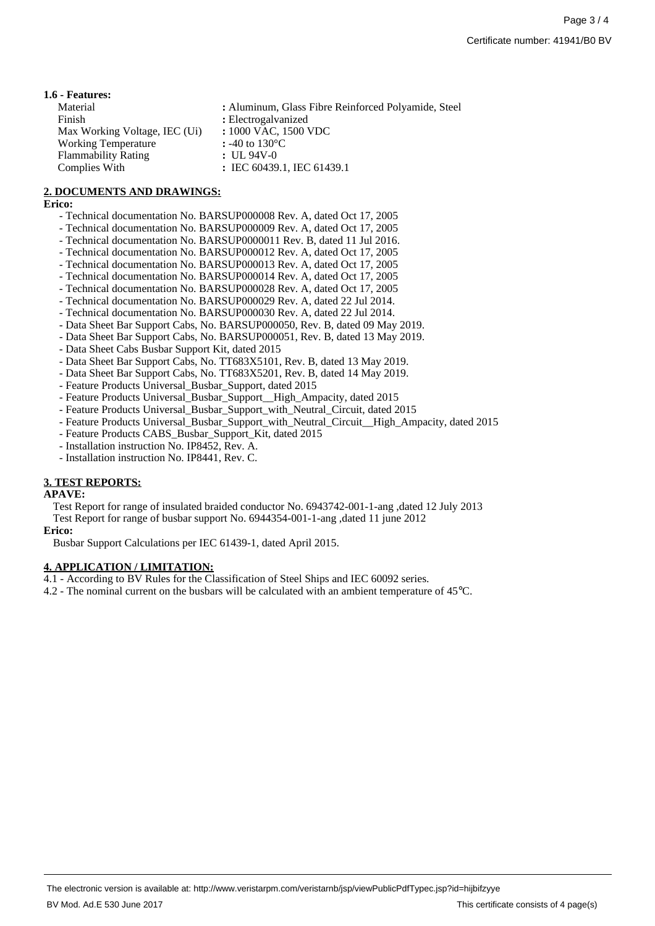#### **1.6 - Features:**

| Material                      | : Aluminum, Glass Fibre Reinforced Polyamide, Steel |
|-------------------------------|-----------------------------------------------------|
| Finish                        | : Electrogalvanized                                 |
| Max Working Voltage, IEC (Ui) | : 1000 VAC, 1500 VDC                                |
| <b>Working Temperature</b>    | : -40 to 130 °C                                     |
| <b>Flammability Rating</b>    | $: UL 94V-0$                                        |
| Complies With                 | : IEC 60439.1, IEC 61439.1                          |

## **2. DOCUMENTS AND DRAWINGS:**

#### **Erico:**

- Technical documentation No. BARSUP000008 Rev. A, dated Oct 17, 2005
- Technical documentation No. BARSUP000009 Rev. A, dated Oct 17, 2005
- Technical documentation No. BARSUP0000011 Rev. B, dated 11 Jul 2016.
- Technical documentation No. BARSUP000012 Rev. A, dated Oct 17, 2005
- Technical documentation No. BARSUP000013 Rev. A, dated Oct 17, 2005
- Technical documentation No. BARSUP000014 Rev. A, dated Oct 17, 2005
- Technical documentation No. BARSUP000028 Rev. A, dated Oct 17, 2005
- Technical documentation No. BARSUP000029 Rev. A, dated 22 Jul 2014.
- Technical documentation No. BARSUP000030 Rev. A, dated 22 Jul 2014.
- Data Sheet Bar Support Cabs, No. BARSUP000050, Rev. B, dated 09 May 2019.
- Data Sheet Bar Support Cabs, No. BARSUP000051, Rev. B, dated 13 May 2019.
- Data Sheet Cabs Busbar Support Kit, dated 2015
- Data Sheet Bar Support Cabs, No. TT683X5101, Rev. B, dated 13 May 2019.
- Data Sheet Bar Support Cabs, No. TT683X5201, Rev. B, dated 14 May 2019.
- Feature Products Universal\_Busbar\_Support, dated 2015
- Feature Products Universal\_Busbar\_Support\_\_High\_Ampacity, dated 2015
- Feature Products Universal\_Busbar\_Support\_with\_Neutral\_Circuit, dated 2015
- Feature Products Universal\_Busbar\_Support\_with\_Neutral\_Circuit\_\_High\_Ampacity, dated 2015
- Feature Products CABS\_Busbar\_Support\_Kit, dated 2015
- Installation instruction No. IP8452, Rev. A.
- Installation instruction No. IP8441, Rev. C.

### **3. TEST REPORTS:**

#### **APAVE:**

Test Report for range of insulated braided conductor No. 6943742-001-1-ang ,dated 12 July 2013

Test Report for range of busbar support No. 6944354-001-1-ang ,dated 11 june 2012

#### **Erico:**

Busbar Support Calculations per IEC 61439-1, dated April 2015.

## **4. APPLICATION / LIMITATION:**

- 4.1 According to BV Rules for the Classification of Steel Ships and IEC 60092 series.
- 4.2 The nominal current on the busbars will be calculated with an ambient temperature of 45°C.